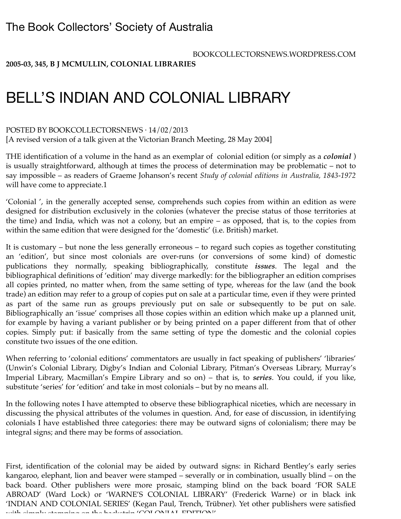BOOKCOLLECTORSNEWS.WORDPRESS.COM

**[2005-03](https://bookcollectorsnews.wordpress.com/category/issues/biblionews/issue/2005-03/), [345](https://bookcollectorsnews.wordpress.com/category/issues/biblionews/number/345/), [B J MCMULLIN,](https://bookcollectorsnews.wordpress.com/category/contributors/b-j-mcmullin/) [COLONIAL LIBRARIES](https://bookcollectorsnews.wordpress.com/category/categories/journalism-publishing/colonial-libraries/)**

## BELL'S INDIAN AND COLONIAL LIBRARY

## POSTED BY [BOOKCOLLECTORSNEWS](https://bookcollectorsnews.wordpress.com/author/bookcollectorsnews/) ⋅ 14/02/2013

[A revised version of a talk given at the Victorian Branch Meeting, 28 May 2004]

THE identification of a volume in the hand as an exemplar of colonial edition (or simply as a *colonial* ) is usually straightforward, although at times the process of determination may be problematic – not to say impossible – as readers of Graeme Johanson's recent *Study of colonial editions in Australia, 1843-1972* will have come to appreciate.1

'Colonial ', in the generally accepted sense, comprehends such copies from within an edition as were designed for distribution exclusively in the colonies (whatever the precise status of those territories at the time) and India, which was not a colony, but an empire – as opposed, that is, to the copies from within the same edition that were designed for the 'domestic' (i.e. British) market.

It is customary – but none the less generally erroneous – to regard such copies as together constituting an 'edition', but since most colonials are over-runs (or conversions of some kind) of domestic publications they normally, speaking bibliographically, constitute *issues*. The legal and the bibliographical definitions of 'edition' may diverge markedly: for the bibliographer an edition comprises all copies printed, no matter when, from the same setting of type, whereas for the law (and the book trade) an edition may refer to a group of copies put on sale at a particular time, even if they were printed as part of the same run as groups previously put on sale or subsequently to be put on sale. Bibliographically an 'issue' comprises all those copies within an edition which make up a planned unit, for example by having a variant publisher or by being printed on a paper different from that of other copies. Simply put: if basically from the same setting of type the domestic and the colonial copies constitute two issues of the one edition.

When referring to 'colonial editions' commentators are usually in fact speaking of publishers' 'libraries' (Unwin's Colonial Library, Digby's Indian and Colonial Library, Pitman's Overseas Library, Murray's Imperial Library, Macmillan's Empire Library and so on) – that is, to *series*. You could, if you like, substitute 'series' for 'edition' and take in most colonials – but by no means all.

In the following notes I have attempted to observe these bibliographical niceties, which are necessary in discussing the physical attributes of the volumes in question. And, for ease of discussion, in identifying colonials I have established three categories: there may be outward signs of colonialism; there may be integral signs; and there may be forms of association.

First, identification of the colonial may be aided by outward signs: in Richard Bentley's early series kangaroo, elephant, lion and beaver were stamped – severally or in combination, usually blind – on the back board. Other publishers were more prosaic, stamping blind on the back board 'FOR SALE ABROAD' (Ward Lock) or 'WARNE'S COLONIAL LIBRARY' (Frederick Warne) or in black ink 'INDIAN AND COLONIAL SERIES' (Kegan Paul, Trench, Trübner). Yet other publishers were satisfied with simply stamping on the backstrip 'COLONIAL EDITION'.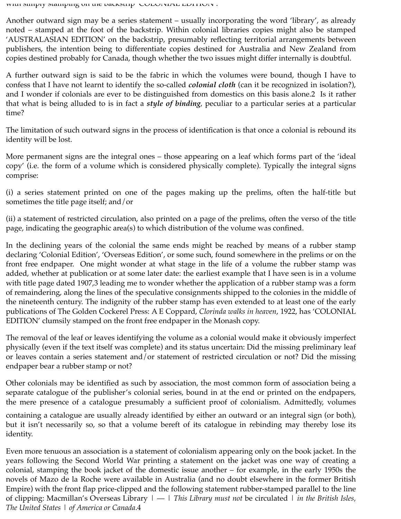with simply stamping on the backstrip 'COLONIAL EDITION'.

Another outward sign may be a series statement – usually incorporating the word 'library', as already noted – stamped at the foot of the backstrip. Within colonial libraries copies might also be stamped 'AUSTRALASIAN EDITION' on the backstrip, presumably reflecting territorial arrangements between publishers, the intention being to differentiate copies destined for Australia and New Zealand from copies destined probably for Canada, though whether the two issues might differ internally is doubtful.

A further outward sign is said to be the fabric in which the volumes were bound, though I have to confess that I have not learnt to identify the so-called *colonial cloth* (can it be recognized in isolation?), and I wonder if colonials are ever to be distinguished from domestics on this basis alone.2 Is it rather that what is being alluded to is in fact a *style of binding*, peculiar to a particular series at a particular time?

The limitation of such outward signs in the process of identification is that once a colonial is rebound its identity will be lost.

More permanent signs are the integral ones – those appearing on a leaf which forms part of the 'ideal copy' (i.e. the form of a volume which is considered physically complete). Typically the integral signs comprise:

(i) a series statement printed on one of the pages making up the prelims, often the half-title but sometimes the title page itself; and/or

(ii) a statement of restricted circulation, also printed on a page of the prelims, often the verso of the title page, indicating the geographic area(s) to which distribution of the volume was confined.

In the declining years of the colonial the same ends might be reached by means of a rubber stamp declaring 'Colonial Edition', 'Overseas Edition', or some such, found somewhere in the prelims or on the front free endpaper. One might wonder at what stage in the life of a volume the rubber stamp was added, whether at publication or at some later date: the earliest example that I have seen is in a volume with title page dated 1907,3 leading me to wonder whether the application of a rubber stamp was a form of remaindering, along the lines of the speculative consignments shipped to the colonies in the middle of the nineteenth century. The indignity of the rubber stamp has even extended to at least one of the early publications of The Golden Cockerel Press: A E Coppard, *Clorinda walks in heaven*, 1922, has 'COLONIAL EDITION' clumsily stamped on the front free endpaper in the Monash copy.

The removal of the leaf or leaves identifying the volume as a colonial would make it obviously imperfect physically (even if the text itself was complete) and its status uncertain: Did the missing preliminary leaf or leaves contain a series statement and/or statement of restricted circulation or not? Did the missing endpaper bear a rubber stamp or not?

Other colonials may be identified as such by association, the most common form of association being a separate catalogue of the publisher's colonial series, bound in at the end or printed on the endpapers, the mere presence of a catalogue presumably a sufficient proof of colonialism. Admittedly, volumes

containing a catalogue are usually already identified by either an outward or an integral sign (or both), but it isn't necessarily so, so that a volume bereft of its catalogue in rebinding may thereby lose its identity.

Even more tenuous an association is a statement of colonialism appearing only on the book jacket. In the years following the Second World War printing a statement on the jacket was one way of creating a colonial, stamping the book jacket of the domestic issue another – for example, in the early 1950s the novels of Mazo de la Roche were available in Australia (and no doubt elsewhere in the former British Empire) with the front flap price-clipped and the following statement rubber-stamped parallel to the line of clipping: Macmillan's Overseas Library | — | *This Library must not* be circulated | *in the British Isles, The United States* | *of America or Canada*.4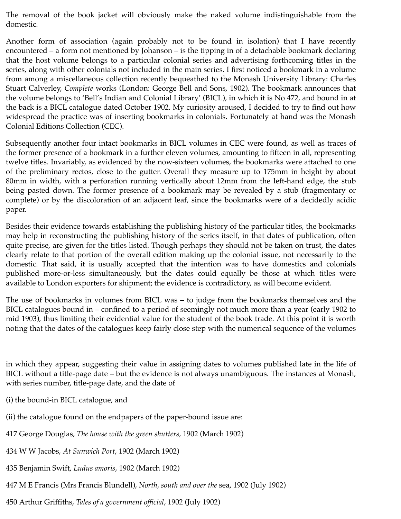The removal of the book jacket will obviously make the naked volume indistinguishable from the domestic.

Another form of association (again probably not to be found in isolation) that I have recently encountered – a form not mentioned by Johanson – is the tipping in of a detachable bookmark declaring that the host volume belongs to a particular colonial series and advertising forthcoming titles in the series, along with other colonials not included in the main series. I first noticed a bookmark in a volume from among a miscellaneous collection recently bequeathed to the Monash University Library: Charles Stuart Calverley, *Complete* works (London: George Bell and Sons, 1902). The bookmark announces that the volume belongs to 'Bell's Indian and Colonial Library' (BICL), in which it is No 472, and bound in at the back is a BICL catalogue dated October 1902. My curiosity aroused, I decided to try to find out how widespread the practice was of inserting bookmarks in colonials. Fortunately at hand was the Monash Colonial Editions Collection (CEC).

Subsequently another four intact bookmarks in BICL volumes in CEC were found, as well as traces of the former presence of a bookmark in a further eleven volumes, amounting to fifteen in all, representing twelve titles. Invariably, as evidenced by the now-sixteen volumes, the bookmarks were attached to one of the preliminary rectos, close to the gutter. Overall they measure up to 175mm in height by about 80mm in width, with a perforation running vertically about 12mm from the left-hand edge, the stub being pasted down. The former presence of a bookmark may be revealed by a stub (fragmentary or complete) or by the discoloration of an adjacent leaf, since the bookmarks were of a decidedly acidic paper.

Besides their evidence towards establishing the publishing history of the particular titles, the bookmarks may help in reconstructing the publishing history of the series itself, in that dates of publication, often quite precise, are given for the titles listed. Though perhaps they should not be taken on trust, the dates clearly relate to that portion of the overall edition making up the colonial issue, not necessarily to the domestic. That said, it is usually accepted that the intention was to have domestics and colonials published more-or-less simultaneously, but the dates could equally be those at which titles were available to London exporters for shipment; the evidence is contradictory, as will become evident.

The use of bookmarks in volumes from BICL was – to judge from the bookmarks themselves and the BICL catalogues bound in – confined to a period of seemingly not much more than a year (early 1902 to mid 1903), thus limiting their evidential value for the student of the book trade. At this point it is worth noting that the dates of the catalogues keep fairly close step with the numerical sequence of the volumes

in which they appear, suggesting their value in assigning dates to volumes published late in the life of BICL without a title-page date – but the evidence is not always unambiguous. The instances at Monash, with series number, title-page date, and the date of

- (i) the bound-in BICL catalogue, and
- (ii) the catalogue found on the endpapers of the paper-bound issue are:
- 417 George Douglas, *The house with the green shutters*, 1902 (March 1902)
- 434 W W Jacobs, *At Sunwich Port*, 1902 (March 1902)
- 435 Benjamin Swift, *Ludus amoris*, 1902 (March 1902)
- 447 M E Francis (Mrs Francis Blundell), *North, south and over the* sea, 1902 (July 1902)
- 450 Arthur Griffiths, *Tales of a government official*, 1902 (July 1902)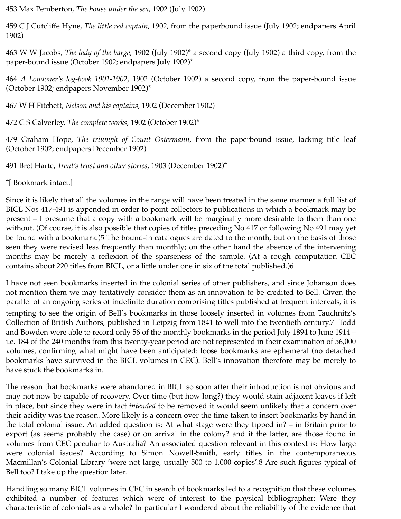453 Max Pemberton, *The house under the sea*, 1902 (July 1902)

459 C J Cutcliffe Hyne, *The little red captain*, 1902, from the paperbound issue (July 1902; endpapers April 1902)

463 W W Jacobs, *The lady of the barge*, 1902 (July 1902)\* a second copy (July 1902) a third copy, from the paper-bound issue (October 1902; endpapers July 1902)\*

464 *A Londoner's log-book 1901-1902*, 1902 (October 1902) a second copy, from the paper-bound issue (October 1902; endpapers November 1902)\*

467 W H Fitchett, *Nelson and his captains*, 1902 (December 1902)

472 C S Calverley, *The complete works*, 1902 (October 1902)\*

479 Graham Hope, *The triumph of Count Ostermann*, from the paperbound issue, lacking title leaf (October 1902; endpapers December 1902)

491 Bret Harte, *Trent's trust and other stories*, 1903 (December 1902)\*

\*[ Bookmark intact.]

Since it is likely that all the volumes in the range will have been treated in the same manner a full list of BICL Nos 417-491 is appended in order to point collectors to publications in which a bookmark may be present – I presume that a copy with a bookmark will be marginally more desirable to them than one without. (Of course, it is also possible that copies of titles preceding No 417 or following No 491 may yet be found with a bookmark.)5 The bound-in catalogues are dated to the month, but on the basis of those seen they were revised less frequently than monthly; on the other hand the absence of the intervening months may be merely a reflexion of the sparseness of the sample. (At a rough computation CEC contains about 220 titles from BICL, or a little under one in six of the total published.)6

I have not seen bookmarks inserted in the colonial series of other publishers, and since Johanson does not mention them we may tentatively consider them as an innovation to be credited to Bell. Given the parallel of an ongoing series of indefinite duration comprising titles published at frequent intervals, it is tempting to see the origin of Bell's bookmarks in those loosely inserted in volumes from Tauchnitz's Collection of British Authors, published in Leipzig from 1841 to well into the twentieth century.7 Todd and Bowden were able to record only 56 of the monthly bookmarks in the period July 1894 to June 1914 – i.e. 184 of the 240 months from this twenty-year period are not represented in their examination of 56,000 volumes, confirming what might have been anticipated: loose bookmarks are ephemeral (no detached bookmarks have survived in the BICL volumes in CEC). Bell's innovation therefore may be merely to have stuck the bookmarks in.

The reason that bookmarks were abandoned in BICL so soon after their introduction is not obvious and may not now be capable of recovery. Over time (but how long?) they would stain adjacent leaves if left in place, but since they were in fact *intended* to be removed it would seem unlikely that a concern over their acidity was the reason. More likely is a concern over the time taken to insert bookmarks by hand in the total colonial issue. An added question is: At what stage were they tipped in? – in Britain prior to export (as seems probably the case) or on arrival in the colony? and if the latter, are those found in volumes from CEC peculiar to Australia? An associated question relevant in this context is: How large were colonial issues? According to Simon Nowell-Smith, early titles in the contemporaneous Macmillan's Colonial Library 'were not large, usually 500 to 1,000 copies'.8 Are such figures typical of Bell too? I take up the question later.

Handling so many BICL volumes in CEC in search of bookmarks led to a recognition that these volumes exhibited a number of features which were of interest to the physical bibliographer: Were they characteristic of colonials as a whole? In particular I wondered about the reliability of the evidence that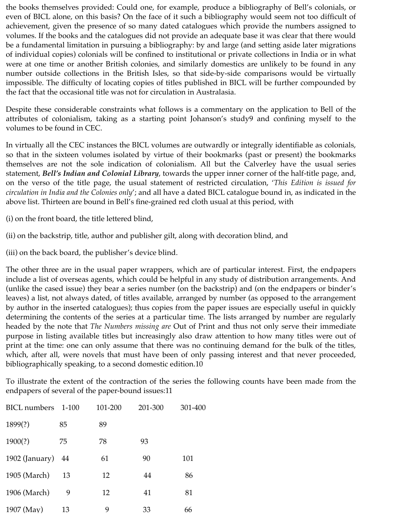the books themselves provided: Could one, for example, produce a bibliography of Bell's colonials, or even of BICL alone, on this basis? On the face of it such a bibliography would seem not too difficult of achievement, given the presence of so many dated catalogues which provide the numbers assigned to volumes. If the books and the catalogues did not provide an adequate base it was clear that there would be a fundamental limitation in pursuing a bibliography: by and large (and setting aside later migrations of individual copies) colonials will be confined to institutional or private collections in India or in what were at one time or another British colonies, and similarly domestics are unlikely to be found in any number outside collections in the British Isles, so that side-by-side comparisons would be virtually impossible. The difficulty of locating copies of titles published in BICL will be further compounded by the fact that the occasional title was not for circulation in Australasia.

Despite these considerable constraints what follows is a commentary on the application to Bell of the attributes of colonialism, taking as a starting point Johanson's study9 and confining myself to the volumes to be found in CEC.

In virtually all the CEC instances the BICL volumes are outwardly or integrally identifiable as colonials, so that in the sixteen volumes isolated by virtue of their bookmarks (past or present) the bookmarks themselves are not the sole indication of colonialism. All but the Calverley have the usual series statement, *Bell's Indian and Colonial Library*, towards the upper inner corner of the half-title page, and, on the verso of the title page, the usual statement of restricted circulation, '*This Edition is issued for circulation in India and the Colonies only*'; and all have a dated BICL catalogue bound in, as indicated in the above list. Thirteen are bound in Bell's fine-grained red cloth usual at this period, with

(i) on the front board, the title lettered blind,

(ii) on the backstrip, title, author and publisher gilt, along with decoration blind, and

(iii) on the back board, the publisher's device blind.

The other three are in the usual paper wrappers, which are of particular interest. First, the endpapers include a list of overseas agents, which could be helpful in any study of distribution arrangements. And (unlike the cased issue) they bear a series number (on the backstrip) and (on the endpapers or binder's leaves) a list, not always dated, of titles available, arranged by number (as opposed to the arrangement by author in the inserted catalogues); thus copies from the paper issues are especially useful in quickly determining the contents of the series at a particular time. The lists arranged by number are regularly headed by the note that *The Numbers missing are* Out of Print and thus not only serve their immediate purpose in listing available titles but increasingly also draw attention to how many titles were out of print at the time: one can only assume that there was no continuing demand for the bulk of the titles, which, after all, were novels that must have been of only passing interest and that never proceeded, bibliographically speaking, to a second domestic edition.10

To illustrate the extent of the contraction of the series the following counts have been made from the endpapers of several of the paper-bound issues:11

| <b>BICL</b> numbers | $1 - 100$ | 101-200 | 201-300 | 301-400 |
|---------------------|-----------|---------|---------|---------|
| 1899(?)             | 85        | 89      |         |         |
| 1900(?)             | 75        | 78      | 93      |         |
| 1902 (January)      | -44       | 61      | 90      | 101     |
| 1905 (March)        | 13        | 12      | 44      | 86      |
| 1906 (March)        | 9         | 12      | 41      | 81      |
| 1907 (May)          | 13        | 9       | 33      | 66      |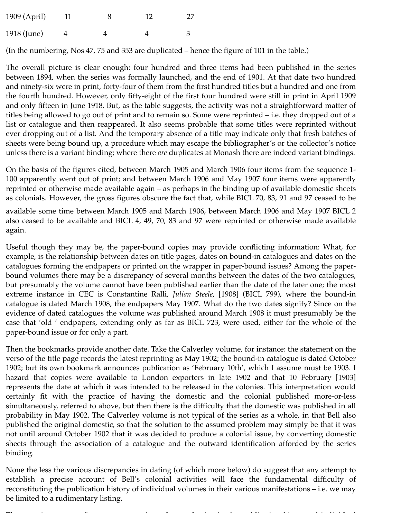| 1909 (April) |  | 12 | 27 |
|--------------|--|----|----|
| 1918 (June)  |  |    |    |

(In the numbering, Nos 47, 75 and 353 are duplicated – hence the figure of 101 in the table.)

The overall picture is clear enough: four hundred and three items had been published in the series between 1894, when the series was formally launched, and the end of 1901. At that date two hundred and ninety-six were in print, forty-four of them from the first hundred titles but a hundred and one from the fourth hundred. However, only fifty-eight of the first four hundred were still in print in April 1909 and only fifteen in June 1918. But, as the table suggests, the activity was not a straightforward matter of titles being allowed to go out of print and to remain so. Some were reprinted – i.e. they dropped out of a list or catalogue and then reappeared. It also seems probable that some titles were reprinted without ever dropping out of a list. And the temporary absence of a title may indicate only that fresh batches of sheets were being bound up, a procedure which may escape the bibliographer's or the collector's notice unless there is a variant binding; where there *are* duplicates at Monash there are indeed variant bindings.

On the basis of the figures cited, between March 1905 and March 1906 four items from the sequence 1- 100 apparently went out of print; and between March 1906 and May 1907 four items were apparently reprinted or otherwise made available again – as perhaps in the binding up of available domestic sheets as colonials. However, the gross figures obscure the fact that, while BICL 70, 83, 91 and 97 ceased to be

available some time between March 1905 and March 1906, between March 1906 and May 1907 BICL 2 also ceased to be available and BICL 4, 49, 70, 83 and 97 were reprinted or otherwise made available again.

Useful though they may be, the paper-bound copies may provide conflicting information: What, for example, is the relationship between dates on title pages, dates on bound-in catalogues and dates on the catalogues forming the endpapers or printed on the wrapper in paper-bound issues? Among the paperbound volumes there may be a discrepancy of several months between the dates of the two catalogues, but presumably the volume cannot have been published earlier than the date of the later one; the most extreme instance in CEC is Constantine Ralli, *Julian Steele*, [1908] (BICL 799), where the bound-in catalogue is dated March 1908, the endpapers May 1907. What do the two dates signify? Since on the evidence of dated catalogues the volume was published around March 1908 it must presumably be the case that 'old ' endpapers, extending only as far as BICL 723, were used, either for the whole of the paper-bound issue or for only a part.

Then the bookmarks provide another date. Take the Calverley volume, for instance: the statement on the verso of the title page records the latest reprinting as May 1902; the bound-in catalogue is dated October 1902; but its own bookmark announces publication as 'February 10th', which I assume must be 1903. I hazard that copies were available to London exporters in late 1902 and that 10 February [1903] represents the date at which it was intended to be released in the colonies. This interpretation would certainly fit with the practice of having the domestic and the colonial published more-or-less simultaneously, referred to above, but then there is the difficulty that the domestic was published in all probability in May 1902. The Calverley volume is not typical of the series as a whole, in that Bell also published the original domestic, so that the solution to the assumed problem may simply be that it was not until around October 1902 that it was decided to produce a colonial issue, by converting domestic sheets through the association of a catalogue and the outward identification afforded by the series binding.

None the less the various discrepancies in dating (of which more below) do suggest that any attempt to establish a precise account of Bell's colonial activities will face the fundamental difficulty of reconstituting the publication history of individual volumes in their various manifestations – i.e. we may be limited to a rudimentary listing.

The capacity to trace finer movements in and out of print in the publication history of individual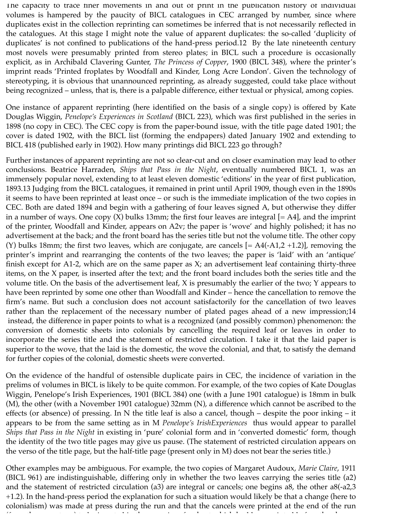The capacity to trace finer movements in and out of print in the publication history of individual volumes is hampered by the paucity of BICL catalogues in CEC arranged by number, since where duplicates exist in the collection reprinting can sometimes be inferred that is not necessarily reflected in the catalogues. At this stage I might note the value of apparent duplicates: the so-called 'duplicity of duplicates' is not confined to publications of the hand-press period.12 By the late nineteenth century most novels were presumably printed from stereo plates; in BICL such a procedure is occasionally explicit, as in Archibald Clavering Gunter, *The Princess of Copper*, 1900 (BICL 348), where the printer's imprint reads 'Printed froplates by Woodfall and Kinder, Long Acre London'. Given the technology of stereotyping, it is obvious that unannounced reprinting, as already suggested, could take place without being recognized – unless, that is, there is a palpable difference, either textual or physical, among copies.

One instance of apparent reprinting (here identified on the basis of a single copy) is offered by Kate Douglas Wiggin, *Penelope's Experiences in Scotland* (BICL 223), which was first published in the series in 1898 (no copy in CEC). The CEC copy is from the paper-bound issue, with the title page dated 1901; the cover is dated 1902, with the BICL list (forming the endpapers) dated January 1902 and extending to BICL 418 (published early in 1902). How many printings did BICL 223 go through?

Further instances of apparent reprinting are not so clear-cut and on closer examination may lead to other conclusions. Beatrice Harraden, *Ships that Pass in the Night*, eventually numbered BICL 1, was an immensely popular novel, extending to at least eleven domestic 'editions' in the year of first publication, 1893.13 Judging from the BICL catalogues, it remained in print until April 1909, though even in the 1890s it seems to have been reprinted at least once – or such is the immediate implication of the two copies in CEC. Both are dated 1894 and begin with a gathering of four leaves signed A, but otherwise they differ in a number of ways. One copy  $(X)$  bulks 13mm; the first four leaves are integral  $[= A4]$ , and the imprint of the printer, Woodfall and Kinder, appears on A2v; the paper is 'wove' and highly polished; it has no advertisement at the back; and the front board has the series title but not the volume title. The other copy (Y) bulks 18mm; the first two leaves, which are conjugate, are cancels  $[= A4(-A1,2+1.2)]$ , removing the printer's imprint and rearranging the contents of the two leaves; the paper is 'laid' with an 'antique' finish except for A1-2, which are on the same paper as X; an advertisement leaf containing thirty-three items, on the X paper, is inserted after the text; and the front board includes both the series title and the volume title. On the basis of the advertisement leaf, X is presumably the earlier of the two; Y appears to have been reprinted by some one other than Woodfall and Kinder – hence the cancellation to remove the firm's name. But such a conclusion does not account satisfactorily for the cancellation of two leaves rather than the replacement of the necessary number of plated pages ahead of a new impression;14 instead, the difference in paper points to what is a recognized (and possibly common) phenomenon: the conversion of domestic sheets into colonials by cancelling the required leaf or leaves in order to incorporate the series title and the statement of restricted circulation. I take it that the laid paper is superior to the wove, that the laid is the domestic, the wove the colonial, and that, to satisfy the demand for further copies of the colonial, domestic sheets were converted.

On the evidence of the handful of ostensible duplicate pairs in CEC, the incidence of variation in the prelims of volumes in BICL is likely to be quite common. For example, of the two copies of Kate Douglas Wiggin, Penelope's Irish Experiences, 1901 (BICL 384) one (with a June 1901 catalogue) is 18mm in bulk (M), the other (with a November 1901 catalogue) 32mm (N), a difference which cannot be ascribed to the effects (or absence) of pressing. In N the title leaf is also a cancel, though – despite the poor inking – it appears to be from the same setting as in M *Penelope's IrishExperiences* thus would appear to parallel *Ships that Pass in the Night* in existing in 'pure' colonial form and in 'converted domestic' form, though the identity of the two title pages may give us pause. (The statement of restricted circulation appears on the verso of the title page, but the half-title page (present only in M) does not bear the series title.)

Other examples may be ambiguous. For example, the two copies of Margaret Audoux, *Marie Claire*, 1911 (BICL 961) are indistinguishable, differing only in whether the two leaves carrying the series title (a2) and the statement of restricted circulation (a3) are integral or cancels; one begins a8, the other a8(-a2,3 +1.2). In the hand-press period the explanation for such a situation would likely be that a change (here to colonialism) was made at press during the run and that the cancels were printed at the end of the run

(from the same type) to be inserted in the same type of a sheet which had been printed before the change the change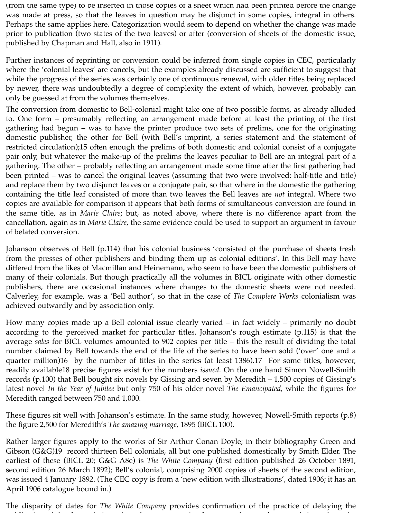(from the same type) to be inserted in those copies of a sheet which had been printed before the change was made at press, so that the leaves in question may be disjunct in some copies, integral in others. Perhaps the same applies here. Categorization would seem to depend on whether the change was made prior to publication (two states of the two leaves) or after (conversion of sheets of the domestic issue, published by Chapman and Hall, also in 1911).

Further instances of reprinting or conversion could be inferred from single copies in CEC, particularly where the 'colonial leaves' are cancels, but the examples already discussed are sufficient to suggest that while the progress of the series was certainly one of continuous renewal, with older titles being replaced by newer, there was undoubtedly a degree of complexity the extent of which, however, probably can only be guessed at from the volumes themselves.

The conversion from domestic to Bell-colonial might take one of two possible forms, as already alluded to. One form – presumably reflecting an arrangement made before at least the printing of the first gathering had begun – was to have the printer produce two sets of prelims, one for the originating domestic publisher, the other for Bell (with Bell's imprint, a series statement and the statement of restricted circulation);15 often enough the prelims of both domestic and colonial consist of a conjugate pair only, but whatever the make-up of the prelims the leaves peculiar to Bell are an integral part of a gathering. The other – probably reflecting an arrangement made some time after the first gathering had been printed – was to cancel the original leaves (assuming that two were involved: half-title and title) and replace them by two disjunct leaves or a conjugate pair, so that where in the domestic the gathering containing the title leaf consisted of more than two leaves the Bell leaves are *not* integral. Where two copies are available for comparison it appears that both forms of simultaneous conversion are found in the same title, as in *Marie Claire*; but, as noted above, where there is no difference apart from the cancellation, again as in *Marie Claire*, the same evidence could be used to support an argument in favour of belated conversion.

Johanson observes of Bell (p.114) that his colonial business 'consisted of the purchase of sheets fresh from the presses of other publishers and binding them up as colonial editions'. In this Bell may have differed from the likes of Macmillan and Heinemann, who seem to have been the domestic publishers of many of their colonials. But though practically all the volumes in BICL originate with other domestic publishers, there are occasional instances where changes to the domestic sheets were not needed. Calverley, for example, was a 'Bell author', so that in the case of *The Complete Works* colonialism was achieved outwardly and by association only.

How many copies made up a Bell colonial issue clearly varied – in fact widely – primarily no doubt according to the perceived market for particular titles. Johanson's rough estimate (p.115) is that the average *sales* for BICL volumes amounted to 902 copies per title – this the result of dividing the total number claimed by Bell towards the end of the life of the series to have been sold ('over' one and a quarter million)16 by the number of titles in the series (at least 1386).17 For some titles, however, readily available18 precise figures exist for the numbers *issued*. On the one hand Simon Nowell-Smith records (p.100) that Bell bought six novels by Gissing and seven by Meredith – 1,500 copies of Gissing's latest novel *In the Year of Jubilee* but only 750 of his older novel *The Emancipated*, while the figures for Meredith ranged between 750 and 1,000.

These figures sit well with Johanson's estimate. In the same study, however, Nowell-Smith reports (p.8) the figure 2,500 for Meredith's *The amazing marriage*, 1895 (BICL 100).

Rather larger figures apply to the works of Sir Arthur Conan Doyle; in their bibliography Green and Gibson (G&G)19 record thirteen Bell colonials, all but one published domestically by Smith Elder. The earliest of these (BICL 20; G&G A8e) is *The White Company* (first edition published 26 October 1891, second edition 26 March 1892); Bell's colonial, comprising 2000 copies of sheets of the second edition, was issued 4 January 1892. (The CEC copy is from a 'new edition with illustrations', dated 1906; it has an April 1906 catalogue bound in.)

The disparity of dates for *The White Company* provides confirmation of the practice of delaying the publication of the domestic issue in order to ensure simultaneous release at home and throughout the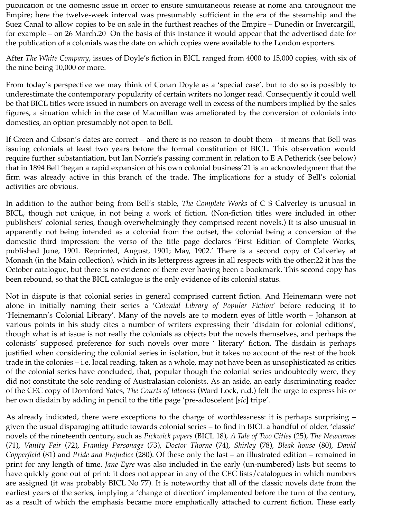publication of the domestic issue in order to ensure simultaneous release at home and throughout the Empire; here the twelve-week interval was presumably sufficient in the era of the steamship and the Suez Canal to allow copies to be on sale in the furthest reaches of the Empire – Dunedin or Invercargill, for example – on 26 March.20 On the basis of this instance it would appear that the advertised date for the publication of a colonials was the date on which copies were available to the London exporters.

After *The White Company*, issues of Doyle's fiction in BICL ranged from 4000 to 15,000 copies, with six of the nine being 10,000 or more.

From today's perspective we may think of Conan Doyle as a 'special case', but to do so is possibly to underestimate the contemporary popularity of certain writers no longer read. Consequently it could well be that BICL titles were issued in numbers on average well in excess of the numbers implied by the sales figures, a situation which in the case of Macmillan was ameliorated by the conversion of colonials into domestics, an option presumably not open to Bell.

If Green and Gibson's dates are correct – and there is no reason to doubt them – it means that Bell was issuing colonials at least two years before the formal constitution of BICL. This observation would require further substantiation, but Ian Norrie's passing comment in relation to E A Petherick (see below) that in 1894 Bell 'began a rapid expansion of his own colonial business'21 is an acknowledgment that the firm was already active in this branch of the trade. The implications for a study of Bell's colonial activities are obvious.

In addition to the author being from Bell's stable, *The Complete Works* of C S Calverley is unusual in BICL, though not unique, in not being a work of fiction. (Non-fiction titles were included in other publishers' colonial series, though overwhelmingly they comprised recent novels.) It is also unusual in apparently not being intended as a colonial from the outset, the colonial being a conversion of the domestic third impression: the verso of the title page declares 'First Edition of Complete Works, published June, 1901. Reprinted, August, 1901; May, 1902.' There is a second copy of Calverley at Monash (in the Main collection), which in its letterpress agrees in all respects with the other;22 it has the October catalogue, but there is no evidence of there ever having been a bookmark. This second copy has been rebound, so that the BICL catalogue is the only evidence of its colonial status.

Not in dispute is that colonial series in general comprised current fiction. And Heinemann were not alone in initially naming their series a '*Colonial Library of Popular Fiction*' before reducing it to 'Heinemann's Colonial Library'. Many of the novels are to modern eyes of little worth – Johanson at various points in his study cites a number of writers expressing their 'disdain for colonial editions', though what is at issue is not really the colonials as objects but the novels themselves, and perhaps the colonists' supposed preference for such novels over more ' literary' fiction. The disdain is perhaps justified when considering the colonial series in isolation, but it takes no account of the rest of the book trade in the colonies – i.e. local reading, taken as a whole, may not have been as unsophisticated as critics of the colonial series have concluded, that, popular though the colonial series undoubtedly were, they did not constitute the sole reading of Australasian colonists. As an aside, an early discriminating reader of the CEC copy of Dornford Yates, *The Courts of Idleness* (Ward Lock, n.d.) felt the urge to express his or her own disdain by adding in pencil to the title page 'pre-adoscelent [*sic*] tripe'.

As already indicated, there were exceptions to the charge of worthlessness: it is perhaps surprising – given the usual disparaging attitude towards colonial series – to find in BICL a handful of older, 'classic' novels of the nineteenth century, such as *Pickwick papers* (BICL 18), *A Tale of Two Cities* (25), *The Newcomes* (71), *Vanity Fair* (72), *Framley Parsonage* (73), *Doctor Thorne* (74), *Shirley* (78), *Bleak house* (80), *David Copperfield* (81) and *Pride and Prejudice* (280). Of these only the last – an illustrated edition – remained in print for any length of time. *Jane Eyre* was also included in the early (un-numbered) lists but seems to have quickly gone out of print: it does not appear in any of the CEC lists/catalogues in which numbers are assigned (it was probably BICL No 77). It is noteworthy that all of the classic novels date from the earliest years of the series, implying a 'change of direction' implemented before the turn of the century, as a result of which the emphasis became more emphatically attached to current fiction. These early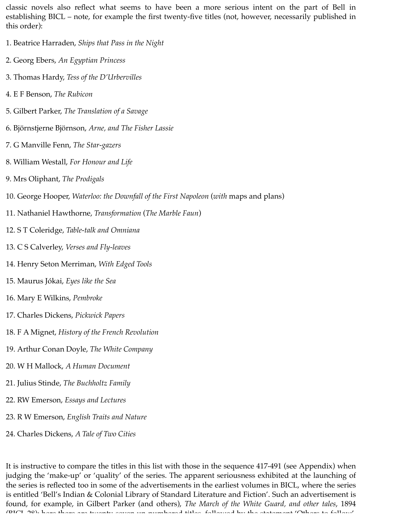classic novels also reflect what seems to have been a more serious intent on the part of Bell in establishing BICL – note, for example the first twenty-five titles (not, however, necessarily published in this order):

- 1. Beatrice Harraden, *Ships that Pass in the Night*
- 2. Georg Ebers, *An Egyptian Princess*
- 3. Thomas Hardy, *Tess of the D'Urbervilles*
- 4. E F Benson, *The Rubicon*
- 5. Gilbert Parker, *The Translation of a Savage*
- 6. Björnstjerne Björnson, *Arne, and The Fisher Lassie*
- 7. G Manville Fenn, *The Star-gazers*
- 8. William Westall, *For Honour and Life*
- 9. Mrs Oliphant, *The Prodigals*
- 10. George Hooper, *Waterloo: the Downfall of the First Napoleon* (*with* maps and plans)
- 11. Nathaniel Hawthorne, *Transformation* (*The Marble Faun*)
- 12. S T Coleridge, *Table-talk and Omniana*
- 13. C S Calverley, *Verses and Fly-leaves*
- 14. Henry Seton Merriman, *With Edged Tools*
- 15. Maurus Jókai, *Eyes like the Sea*
- 16. Mary E Wilkins, *Pembroke*
- 17. Charles Dickens, *Pickwick Papers*
- 18. F A Mignet, *History of the French Revolution*
- 19. Arthur Conan Doyle, *The White Company*
- 20. W H Mallock, *A Human Document*
- 21. Julius Stinde, *The Buchholtz Family*
- 22. RW Emerson, *Essays and Lectures*
- 23. R W Emerson, *English Traits and Nature*
- 24. Charles Dickens, *A Tale of Two Cities*

It is instructive to compare the titles in this list with those in the sequence 417-491 (see Appendix) when judging the 'make-up' or 'quality' of the series. The apparent seriousness exhibited at the launching of the series is reflected too in some of the advertisements in the earliest volumes in BICL, where the series is entitled 'Bell's Indian & Colonial Library of Standard Literature and Fiction'. Such an advertisement is found, for example, in Gilbert Parker (and others), *The March of the White Guard, and other tales*, 1894 (BICL 28); here there are twenty-seven un-numbered titles, followed by the statement 'Others to follow'.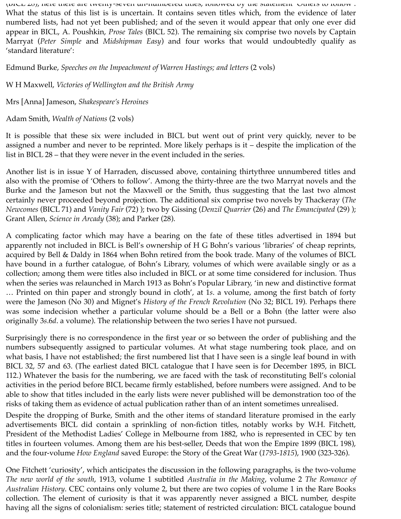(BICL 28); here there are twenty-seven un-numbered titles, followed by the statement 'Others to follow'. What the status of this list is is uncertain. It contains seven titles which, from the evidence of later numbered lists, had not yet been published; and of the seven it would appear that only one ever did appear in BICL, A. Poushkin, *Prose Tales* (BICL 52). The remaining six comprise two novels by Captain Marryat (*Peter Simple* and *Midshipman Easy*) and four works that would undoubtedly qualify as 'standard literature':

Edmund Burke, *Speeches on the Impeachment of Warren Hastings; and letters* (2 vols)

W H Maxwell, *Victories of Wellington and the British Army*

Mrs [Anna] Jameson, *Shakespeare's Heroines*

Adam Smith, *Wealth of Nations* (2 vols)

It is possible that these six were included in BICL but went out of print very quickly, never to be assigned a number and never to be reprinted. More likely perhaps is it – despite the implication of the list in BICL 28 – that they were never in the event included in the series.

Another list is in issue Y of Harraden, discussed above, containing thirtythree unnumbered titles and also with the promise of 'Others to follow'. Among the thirty-three are the two Marryat novels and the Burke and the Jameson but not the Maxwell or the Smith, thus suggesting that the last two almost certainly never proceeded beyond projection. The additional six comprise two novels by Thackeray (*The Newcomes* (BICL 71) and *Vanity Fair* (72) ); two by Gissing (*Denzil Quarrier* (26) and *The Emancipated* (29) ); Grant Allen, *Science in Arcady* (38); and Parker (28).

A complicating factor which may have a bearing on the fate of these titles advertised in 1894 but apparently not included in BICL is Bell's ownership of H G Bohn's various 'libraries' of cheap reprints, acquired by Bell & Daldy in 1864 when Bohn retired from the book trade. Many of the volumes of BICL have bound in a further catalogue, of Bohn's Library, volumes of which were available singly or as a collection; among them were titles also included in BICL or at some time considered for inclusion. Thus when the series was relaunched in March 1913 as Bohn's Popular Library, 'in new and distinctive format … Printed on thin paper and strongly bound in cloth', at 1*s*. a volume, among the first batch of forty were the Jameson (No 30) and Mignet's *History of the French Revolution* (No 32; BICL 19). Perhaps there was some indecision whether a particular volume should be a Bell or a Bohn (the latter were also originally 3*s*.6*d*. a volume). The relationship between the two series I have not pursued.

Surprisingly there is no correspondence in the first year or so between the order of publishing and the numbers subsequently assigned to particular volumes. At what stage numbering took place, and on what basis, I have not established; the first numbered list that I have seen is a single leaf bound in with BICL 32, 57 and 63. (The earliest dated BICL catalogue that I have seen is for December 1895, in BICL 112.) Whatever the basis for the numbering, we are faced with the task of reconstituting Bell's colonial activities in the period before BICL became firmly established, before numbers were assigned. And to be able to show that titles included in the early lists were never published will be demonstration too of the risks of taking them as evidence of actual publication rather than of an intent sometimes unrealised.

Despite the dropping of Burke, Smith and the other items of standard literature promised in the early advertisements BICL did contain a sprinkling of non-fiction titles, notably works by W.H. Fitchett, President of the Methodist Ladies' College in Melbourne from 1882, who is represented in CEC by ten titles in fourteen volumes. Among them are his best-seller, Deeds that won the Empire 1899 (BICL 198), and the four-volume *How England* saved Europe: the Story of the Great War (*1793-1815*), 1900 (323-326).

One Fitchett 'curiosity', which anticipates the discussion in the following paragraphs, is the two-volume *The new world of the south*, 1913, volume 1 subtitled *Australia in the Making*, volume 2 *The Romance of Australian History*. CEC contains only volume 2, but there are two copies of volume 1 in the Rare Books collection. The element of curiosity is that it was apparently never assigned a BICL number, despite having all the signs of colonialism: series title; statement of restricted circulation: BICL catalogue bound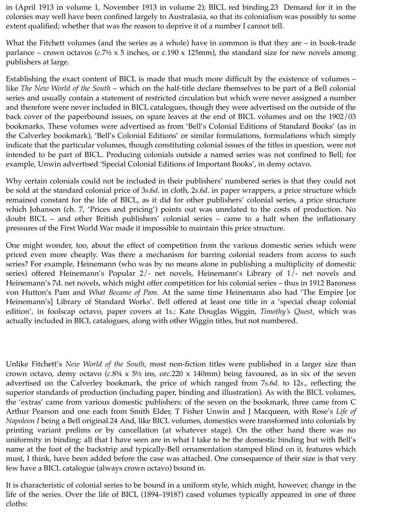in (April 1913 in volume 1, November 1913 in volume 2); BICL red binding.23 Demand for it in the colonies may well have been confined largely to Australasia, so that its colonialism was possibly to some extent qualified; whether that was the reason to deprive it of a number I cannot tell.

What the Fitchett volumes (and the series as a whole) have in common is that they are – in book-trade parlance – crown octavos (*c.*7½ x 5 inches, or c.190 x 125mm), the standard size for new novels among publishers at large.

Establishing the exact content of BICL is made that much more difficult by the existence of volumes – like *The New World of the South* – which on the half-title declare themselves to be part of a Bell colonial series and usually contain a statement of restricted circulation but which were never assigned a number and therefore were never included in BICL catalogues, though they were advertised on the outside of the back cover of the paperbound issues, on spare leaves at the end of BICL volumes and on the 1902/03 bookmarks. These volumes were advertised as from 'Bell's Colonial Editions of Standard Books' (as in the Calverley bookmark), 'Bell's Colonial Editions' or similar formulations, formulations which simply indicate that the particular volumes, though constituting colonial issues of the titles in question, were not intended to be part of BICL. Producing colonials outside a named series was not confined to Bell; for example, Unwin advertised 'Special Colonial Editions of Important Books', in demy octavo.

Why certain colonials could not be included in their publishers' numbered series is that they could not be sold at the standard colonial price of 3*s*.6*d*. in cloth, 2*s*.6*d*. in paper wrappers, a price structure which remained constant for the life of BICL, as it did for other publishers' colonial series, a price structure which Johanson (ch. 7, 'Prices and pricing') points out was unrelated to the costs of production. No doubt BICL – and other British publishers' colonial series – came to a halt when the inflationary pressures of the First World War made it impossible to maintain this price structure.

One might wonder, too, about the effect of competition from the various domestic series which were priced even more cheaply. Was there a mechanism for barring colonial readers from access to such series? For example, Heinemann (who was by no means alone in publishing a multiplicity of domestic series) offered Heinemann's Popular 2/- net novels, Heinemann's Library of 1/- net novels and Heinemann's 7d. net novels, which might offer competition for his colonial series – thus in 1912 Baroness von Hutton's Pam and *What Became of Pam*. At the same time Heinemann also had 'The Empire [or Heinemann's] Library of Standard Works'. Bell offered at least one title in a 'special cheap colonial edition', in foolscap octavo, paper covers at 1*s*.: Kate Douglas Wiggin, *Timothy's Quest*, which was actually included in BICL catalogues, along with other Wiggin titles, but not numbered.

Unlike Fitchett's *New World of the South*, most non-fiction titles were published in a larger size than crown octavo, demy octavo (*c*.8¾ x 5½ ins, or*c*.220 x 140mm) being favoured, as in six of the seven advertised on the Calverley bookmark, the price of which ranged from 7*s*.6*d*. to 12*s*., reflecting the superior standards of production (including paper, binding and illustration). As with the BICL volumes, the 'extras' came from various domestic publishers: of the seven on the bookmark, three came from C Arthur Pearson and one each from Smith Elder, T Fisher Unwin and J Macqueen, with Rose's *Life of Napoleon I* being a Bell original.24 And, like BICL volumes, domestics were transformed into colonials by printing variant prelims or by cancellation (at whatever stage). On the other hand there was no uniformity in binding: all that I have seen are in what I take to be the domestic binding but with Bell's name at the foot of the backstrip and typically-Bell ornamentation stamped blind on it, features which must, I think, have been added before the case was attached. One consequence of their size is that very few have a BICL catalogue (always crown octavo) bound in.

It is characteristic of colonial series to be bound in a uniform style, which might, however, change in the life of the series. Over the life of BICL (1894–1918?) cased volumes typically appeared in one of three cloths: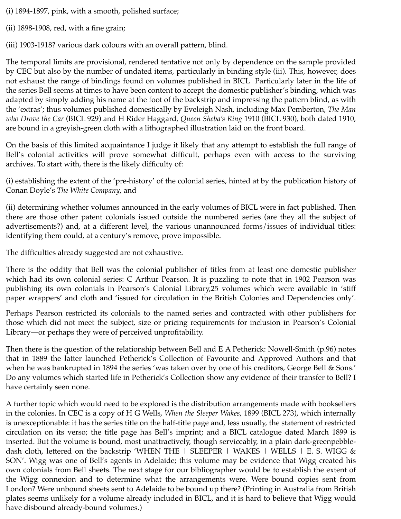- (i) 1894-1897, pink, with a smooth, polished surface;
- (ii) 1898-1908, red, with a fine grain;
- (iii) 1903-1918? various dark colours with an overall pattern, blind.

The temporal limits are provisional, rendered tentative not only by dependence on the sample provided by CEC but also by the number of undated items, particularly in binding style (iii). This, however, does not exhaust the range of bindings found on volumes published in BICL Particularly later in the life of the series Bell seems at times to have been content to accept the domestic publisher's binding, which was adapted by simply adding his name at the foot of the backstrip and impressing the pattern blind, as with the 'extras'; thus volumes published domestically by Eveleigh Nash, including Max Pemberton, *The Man who Drove the Car* (BICL 929) and H Rider Haggard, *Queen Sheba's Ring* 1910 (BICL 930), both dated 1910, are bound in a greyish-green cloth with a lithographed illustration laid on the front board.

On the basis of this limited acquaintance I judge it likely that any attempt to establish the full range of Bell's colonial activities will prove somewhat difficult, perhaps even with access to the surviving archives. To start with, there is the likely difficulty of:

(i) establishing the extent of the 'pre-history' of the colonial series, hinted at by the publication history of Conan Doyle's *The White Company*, and

(ii) determining whether volumes announced in the early volumes of BICL were in fact published. Then there are those other patent colonials issued outside the numbered series (are they all the subject of advertisements?) and, at a different level, the various unannounced forms/issues of individual titles: identifying them could, at a century's remove, prove impossible.

The difficulties already suggested are not exhaustive.

There is the oddity that Bell was the colonial publisher of titles from at least one domestic publisher which had its own colonial series: C Arthur Pearson. It is puzzling to note that in 1902 Pearson was publishing its own colonials in Pearson's Colonial Library,25 volumes which were available in 'stiff paper wrappers' and cloth and 'issued for circulation in the British Colonies and Dependencies only'.

Perhaps Pearson restricted its colonials to the named series and contracted with other publishers for those which did not meet the subject, size or pricing requirements for inclusion in Pearson's Colonial Library—or perhaps they were of perceived unprofitability.

Then there is the question of the relationship between Bell and E A Petherick: Nowell-Smith (p.96) notes that in 1889 the latter launched Petherick's Collection of Favourite and Approved Authors and that when he was bankrupted in 1894 the series 'was taken over by one of his creditors, George Bell & Sons.' Do any volumes which started life in Petherick's Collection show any evidence of their transfer to Bell? I have certainly seen none.

A further topic which would need to be explored is the distribution arrangements made with booksellers in the colonies. In CEC is a copy of H G Wells, *When the Sleeper Wakes*, 1899 (BICL 273), which internally is unexceptionable: it has the series title on the half-title page and, less usually, the statement of restricted circulation on its verso; the title page has Bell's imprint; and a BICL catalogue dated March 1899 is inserted. But the volume is bound, most unattractively, though serviceably, in a plain dark-greenpebbledash cloth, lettered on the backstrip 'WHEN THE | SLEEPER | WAKES | WELLS | E. S. WIGG  $\&$ SON'. Wigg was one of Bell's agents in Adelaide; this volume may be evidence that Wigg created his own colonials from Bell sheets. The next stage for our bibliographer would be to establish the extent of the Wigg connexion and to determine what the arrangements were. Were bound copies sent from London? Were unbound sheets sent to Adelaide to be bound up there? (Printing in Australia from British plates seems unlikely for a volume already included in BICL, and it is hard to believe that Wigg would have disbound already-bound volumes.)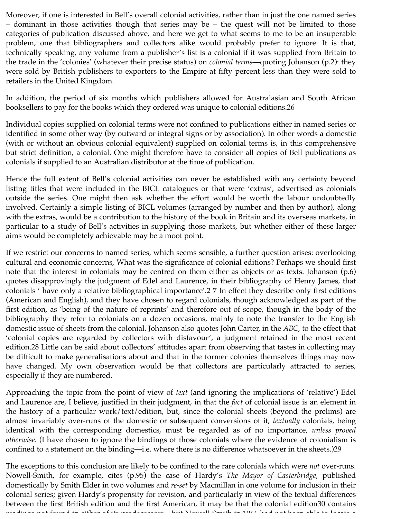Moreover, if one is interested in Bell's overall colonial activities, rather than in just the one named series – dominant in those activities though that series may be – the quest will not be limited to those categories of publication discussed above, and here we get to what seems to me to be an insuperable problem, one that bibliographers and collectors alike would probably prefer to ignore. It is that, technically speaking, any volume from a publisher's list is a colonial if it was supplied from Britain to the trade in the 'colonies' (whatever their precise status) on *colonial terms*—quoting Johanson (p.2): they were sold by British publishers to exporters to the Empire at fifty percent less than they were sold to retailers in the United Kingdom.

In addition, the period of six months which publishers allowed for Australasian and South African booksellers to pay for the books which they ordered was unique to colonial editions.26

Individual copies supplied on colonial terms were not confined to publications either in named series or identified in some other way (by outward or integral signs or by association). In other words a domestic (with or without an obvious colonial equivalent) supplied on colonial terms is, in this comprehensive but strict definition, a colonial. One might therefore have to consider all copies of Bell publications as colonials if supplied to an Australian distributor at the time of publication.

Hence the full extent of Bell's colonial activities can never be established with any certainty beyond listing titles that were included in the BICL catalogues or that were 'extras', advertised as colonials outside the series. One might then ask whether the effort would be worth the labour undoubtedly involved. Certainly a simple listing of BICL volumes (arranged by number and then by author), along with the extras, would be a contribution to the history of the book in Britain and its overseas markets, in particular to a study of Bell's activities in supplying those markets, but whether either of these larger aims would be completely achievable may be a moot point.

If we restrict our concerns to named series, which seems sensible, a further question arises: overlooking cultural and economic concerns, What was the significance of colonial editions? Perhaps we should first note that the interest in colonials may be centred on them either as objects or as texts. Johanson (p.6) quotes disapprovingly the judgment of Edel and Laurence, in their bibliography of Henry James, that colonials ' have only a relative bibliographical importance'.2 7 In effect they describe only first editions (American and English), and they have chosen to regard colonials, though acknowledged as part of the first edition, as 'being of the nature of reprints' and therefore out of scope, though in the body of the bibliography they refer to colonials on a dozen occasions, mainly to note the transfer to the English domestic issue of sheets from the colonial. Johanson also quotes John Carter, in the *ABC*, to the effect that 'colonial copies are regarded by collectors with disfavour', a judgment retained in the most recent edition.28 Little can be said about collectors' attitudes apart from observing that tastes in collecting may be difficult to make generalisations about and that in the former colonies themselves things may now have changed. My own observation would be that collectors are particularly attracted to series, especially if they are numbered.

Approaching the topic from the point of view of *text* (and ignoring the implications of 'relative') Edel and Laurence are, I believe, justified in their judgment, in that the *fact* of colonial issue is an element in the history of a particular work/text/edition, but, since the colonial sheets (beyond the prelims) are almost invariably over-runs of the domestic or subsequent conversions of it, *textually* colonials, being identical with the corresponding domestics, must be regarded as of no importance, *unless proved otherwise*. (I have chosen to ignore the bindings of those colonials where the evidence of colonialism is confined to a statement on the binding—i.e. where there is no difference whatsoever in the sheets.)29

The exceptions to this conclusion are likely to be confined to the rare colonials which were *not* over-runs. Nowell-Smith, for example, cites (p.95) the case of Hardy's *The Mayor of Casterbridge*, published domestically by Smith Elder in two volumes and *re-set* by Macmillan in one volume for inclusion in their colonial series; given Hardy's propensity for revision, and particularly in view of the textual differences between the first British edition and the first American, it may be that the colonial edition30 contains readings not found in either of its predecessors – but Nowell-Smith in 1966 had not been able to locate a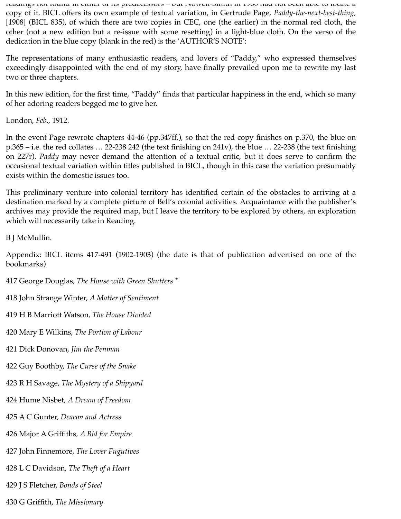readings not found in either of its predecessors – but Nowell-Smith in 1966 had not been able to locate a copy of it. BICL offers its own example of textual variation, in Gertrude Page, *Paddy-the-next-best-thing*, [1908] (BICL 835), of which there are two copies in CEC, one (the earlier) in the normal red cloth, the other (not a new edition but a re-issue with some resetting) in a light-blue cloth. On the verso of the dedication in the blue copy (blank in the red) is the 'AUTHOR'S NOTE':

The representations of many enthusiastic readers, and lovers of "Paddy," who expressed themselves exceedingly disappointed with the end of my story, have finally prevailed upon me to rewrite my last two or three chapters.

In this new edition, for the first time, "Paddy" finds that particular happiness in the end, which so many of her adoring readers begged me to give her.

London, *Feb*., 1912.

In the event Page rewrote chapters 44-46 (pp.347ff.), so that the red copy finishes on p.370, the blue on p.365 – i.e. the red collates … 22-238 242 (the text finishing on 241v), the blue … 22-238 (the text finishing on 227r). *Paddy* may never demand the attention of a textual critic, but it does serve to confirm the occasional textual variation within titles published in BICL, though in this case the variation presumably exists within the domestic issues too.

This preliminary venture into colonial territory has identified certain of the obstacles to arriving at a destination marked by a complete picture of Bell's colonial activities. Acquaintance with the publisher's archives may provide the required map, but I leave the territory to be explored by others, an exploration which will necessarily take in Reading.

B J McMullin.

Appendix: BICL items 417-491 (1902-1903) (the date is that of publication advertised on one of the bookmarks)

417 George Douglas, *The House with Green Shutters* \*

418 John Strange Winter, *A Matter of Sentiment*

419 H B Marriott Watson, *The House Divided*

420 Mary E Wilkins, *The Portion of Labour*

421 Dick Donovan, *Jim the Penman*

422 Guy Boothby, *The Curse of the Snake*

423 R H Savage, *The Mystery of a Shipyard*

424 Hume Nisbet, *A Dream of Freedom*

425 A C Gunter, *Deacon and Actress*

426 Major A Griffiths, *A Bid for Empire*

427 John Finnemore, *The Lover Fugutives*

428 L C Davidson, *The Theft of a Heart*

429 J S Fletcher, *Bonds of Steel*

430 G Griffith, *The Missionary*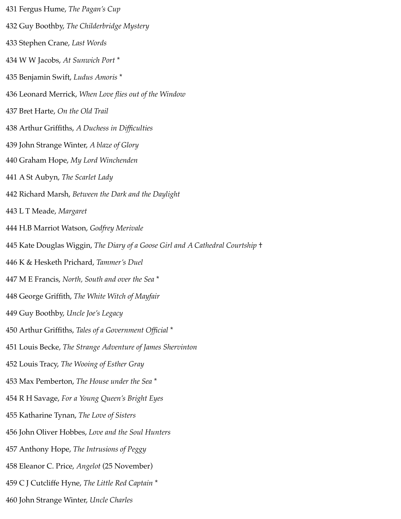431 Fergus Hume, *The Pagan's Cup* 432 Guy Boothby, *The Childerbridge Mystery* 433 Stephen Crane, *Last Words* 434 W W Jacobs, *At Sunwich Port* \* 435 Benjamin Swift, *Ludus Amoris* \* 436 Leonard Merrick, *When Love flies out of the Window* 437 Bret Harte, *On the Old Trail* 438 Arthur Griffiths, *A Duchess in Difficulties* 439 John Strange Winter, *A blaze of Glory* 440 Graham Hope, *My Lord Winchenden* 441 A St Aubyn, *The Scarlet Lady* 442 Richard Marsh, *Between the Dark and the Daylight* 443 L T Meade, *Margaret* 444 H.B Marriot Watson, *Godfrey Merivale* 445 Kate Douglas Wiggin, *The Diary of a Goose Girl and A Cathedral Courtship* † 446 K & Hesketh Prichard, *Tammer's Duel* 447 M E Francis, *North, South and over the Sea* \* 448 George Griffith, *The White Witch of Mayfair* 449 Guy Boothby, *Uncle Joe's Legacy* 450 Arthur Griffiths, *Tales of a Government Official* \* 451 Louis Becke, *The Strange Adventure of James Shervinton* 452 Louis Tracy, *The Wooing of Esther Gray* 453 Max Pemberton, *The House under the Sea* \* 454 R H Savage, *For a Young Queen's Bright Eyes* 455 Katharine Tynan, *The Love of Sisters* 456 John Oliver Hobbes, *Love and the Soul Hunters* 457 Anthony Hope, *The Intrusions of Peggy* 458 Eleanor C. Price, *Angelot* (25 November) 459 C J Cutcliffe Hyne, *The Little Red Captain* \* 460 John Strange Winter, *Uncle Charles*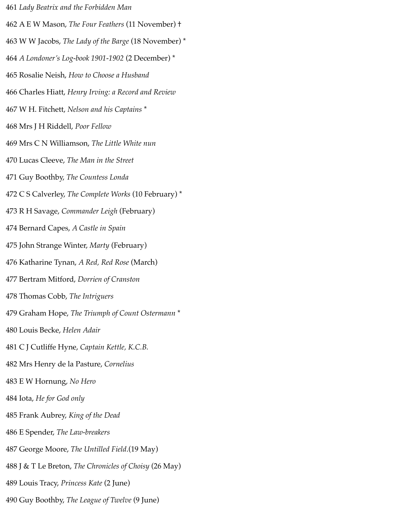461 *Lady Beatrix and the Forbidden Man* 462 A E W Mason, *The Four Feathers* (11 November) † 463 W W Jacobs, *The Lady of the Barge* (18 November) \* 464 *A Londoner's Log-book 1901-1902* (2 December) \* 465 Rosalie Neish, *How to Choose a Husband* 466 Charles Hiatt, *Henry Irving: a Record and Review* 467 W H. Fitchett, *Nelson and his Captains* \* 468 Mrs J H Riddell, *Poor Fellow* 469 Mrs C N Williamson, *The Little White nun* 470 Lucas Cleeve, *The Man in the Street* 471 Guy Boothby, *The Countess Londa* 472 C S Calverley, *The Complete Works* (10 February) \* 473 R H Savage, *Commander Leigh* (February) 474 Bernard Capes, *A Castle in Spain* 475 John Strange Winter, *Marty* (February) 476 Katharine Tynan, *A Red, Red Rose* (March) 477 Bertram Mitford, *Dorrien of Cranston* 478 Thomas Cobb, *The Intriguers* 479 Graham Hope, *The Triumph of Count Ostermann* \* 480 Louis Becke, *Helen Adair* 481 C J Cutliffe Hyne, *Captain Kettle, K.C.B.* 482 Mrs Henry de la Pasture, *Cornelius* 483 E W Hornung, *No Hero* 484 Iota, *He for God only* 485 Frank Aubrey, *King of the Dead* 486 E Spender, *The Law-breakers* 487 George Moore, *The Untilled Field*.(19 May) 488 J & T Le Breton, *The Chronicles of Choisy* (26 May) 489 Louis Tracy, *Princess Kate* (2 June) 490 Guy Boothby, *The League of Twelve* (9 June)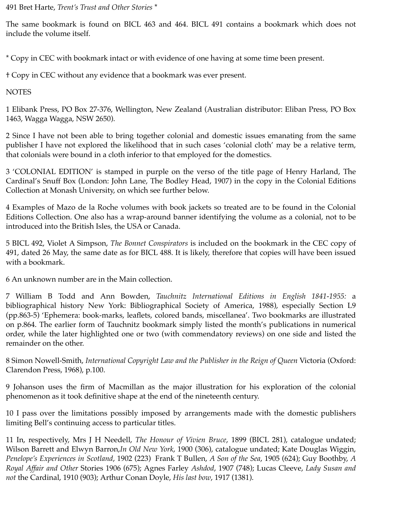491 Bret Harte, *Trent's Trust and Other Stories* \*

The same bookmark is found on BICL 463 and 464. BICL 491 contains a bookmark which does not include the volume itself.

\* Copy in CEC with bookmark intact or with evidence of one having at some time been present.

† Copy in CEC without any evidence that a bookmark was ever present.

**NOTES** 

1 Elibank Press, PO Box 27-376, Wellington, New Zealand (Australian distributor: Eliban Press, PO Box 1463, Wagga Wagga, NSW 2650).

2 Since I have not been able to bring together colonial and domestic issues emanating from the same publisher I have not explored the likelihood that in such cases 'colonial cloth' may be a relative term, that colonials were bound in a cloth inferior to that employed for the domestics.

3 'COLONIAL EDITION' is stamped in purple on the verso of the title page of Henry Harland, The Cardinal's Snuff Box (London: John Lane, The Bodley Head, 1907) in the copy in the Colonial Editions Collection at Monash University, on which see further below.

4 Examples of Mazo de la Roche volumes with book jackets so treated are to be found in the Colonial Editions Collection. One also has a wrap-around banner identifying the volume as a colonial, not to be introduced into the British Isles, the USA or Canada.

5 BICL 492, Violet A Simpson, *The Bonnet Conspirators* is included on the bookmark in the CEC copy of 491, dated 26 May, the same date as for BICL 488. It is likely, therefore that copies will have been issued with a bookmark.

6 An unknown number are in the Main collection.

7 William B Todd and Ann Bowden, *Tauchnitz International Editions in English 1841-1955:* a bibliographical history New York: Bibliographical Society of America, 1988), especially Section L9 (pp.863-5) 'Ephemera: book-marks, leaflets, colored bands, miscellanea'. Two bookmarks are illustrated on p.864. The earlier form of Tauchnitz bookmark simply listed the month's publications in numerical order, while the later highlighted one or two (with commendatory reviews) on one side and listed the remainder on the other.

8 Simon Nowell-Smith, *International Copyright Law and the Publisher in the Reign of Queen* Victoria (Oxford: Clarendon Press, 1968), p.100.

9 Johanson uses the firm of Macmillan as the major illustration for his exploration of the colonial phenomenon as it took definitive shape at the end of the nineteenth century.

10 I pass over the limitations possibly imposed by arrangements made with the domestic publishers limiting Bell's continuing access to particular titles.

11 In, respectively, Mrs J H Needell, *The Honour of Vivien Bruce*, 1899 (BICL 281), catalogue undated; Wilson Barrett and Elwyn Barron,*In Old New York*, 1900 (306), catalogue undated; Kate Douglas Wiggin, *Penelope's Experiences in Scotland*, 1902 (223) Frank T Bullen, *A Son of the Sea*, 1905 (624); Guy Boothby, *A Royal Affair and Other* Stories 1906 (675); Agnes Farley *Ashdod*, 1907 (748); Lucas Cleeve, *Lady Susan and not* the Cardinal, 1910 (903); Arthur Conan Doyle, *His last bow*, 1917 (1381).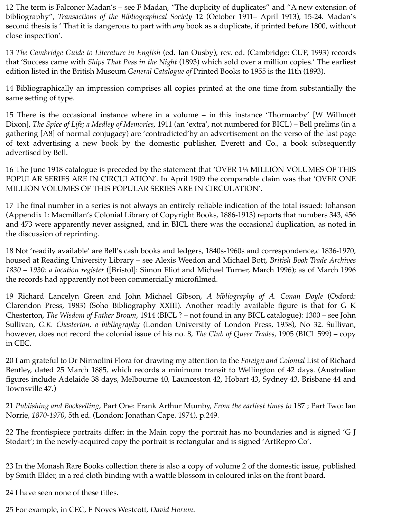12 The term is Falconer Madan's – see F Madan, "The duplicity of duplicates" and "A new extension of bibliography", *Transactions of the Bibliographical Society* 12 (October 1911– April 1913), 15-24. Madan's second thesis is ' That it is dangerous to part with *any* book as a duplicate, if printed before 1800, without close inspection'.

13 *The Cambridge Guide to Literature in English* (ed. Ian Ousby), rev. ed. (Cambridge: CUP, 1993) records that 'Success came with *Ships That Pass in the Night* (1893) which sold over a million copies.' The earliest edition listed in the British Museum *General Catalogue of* Printed Books to 1955 is the 11th (1893).

14 Bibliographically an impression comprises all copies printed at the one time from substantially the same setting of type.

15 There is the occasional instance where in a volume – in this instance 'Thormanby' [W Willmott Dixon], *The Spice of Life; a Medley of Memories*, 1911 (an 'extra', not numbered for BICL) – Bell prelims (in a gathering [A8] of normal conjugacy) are 'contradicted'by an advertisement on the verso of the last page of text advertising a new book by the domestic publisher, Everett and Co., a book subsequently advertised by Bell.

16 The June 1918 catalogue is preceded by the statement that 'OVER 1¼ MILLION VOLUMES OF THIS POPULAR SERIES ARE IN CIRCULATION'. In April 1909 the comparable claim was that 'OVER ONE MILLION VOLUMES OF THIS POPULAR SERIES ARE IN CIRCULATION'.

17 The final number in a series is not always an entirely reliable indication of the total issued: Johanson (Appendix 1: Macmillan's Colonial Library of Copyright Books, 1886-1913) reports that numbers 343, 456 and 473 were apparently never assigned, and in BICL there was the occasional duplication, as noted in the discussion of reprinting.

18 Not 'readily available' are Bell's cash books and ledgers, 1840s-1960s and correspondence,c 1836-1970, housed at Reading University Library – see Alexis Weedon and Michael Bott, *British Book Trade Archives 1830 – 1930: a location register* ([Bristol]: Simon Eliot and Michael Turner, March 1996); as of March 1996 the records had apparently not been commercially microfilmed.

19 Richard Lancelyn Green and John Michael Gibson, *A bibliography of A. Conan Doyle* (Oxford: Clarendon Press, 1983) (Soho Bibliography XXIII). Another readily available figure is that for G K Chesterton, *The Wisdom of Father Brown*, 1914 (BICL ? – not found in any BICL catalogue): 1300 – see John Sullivan, *G.K. Chesterton, a bibliography* (London University of London Press, 1958), No 32. Sullivan, however, does not record the colonial issue of his no. 8, *The Club of Queer Trades*, 1905 (BICL 599) – copy in CEC.

20 I am grateful to Dr Nirmolini Flora for drawing my attention to the *Foreign and Colonial* List of Richard Bentley, dated 25 March 1885, which records a minimum transit to Wellington of 42 days. (Australian figures include Adelaide 38 days, Melbourne 40, Launceston 42, Hobart 43, Sydney 43, Brisbane 44 and Townsville 47.)

21 *Publishing and Bookselling*, Part One: Frank Arthur Mumby, *From the earliest times to* 187 ; Part Two: Ian Norrie, *1870-1970*, 5th ed. (London: Jonathan Cape. 1974), p.249.

22 The frontispiece portraits differ: in the Main copy the portrait has no boundaries and is signed 'G J Stodart'; in the newly-acquired copy the portrait is rectangular and is signed 'ArtRepro Co'.

23 In the Monash Rare Books collection there is also a copy of volume 2 of the domestic issue, published by Smith Elder, in a red cloth binding with a wattle blossom in coloured inks on the front board.

24 I have seen none of these titles.

25 For example, in CEC, E Noyes Westcott, *David Harum*.